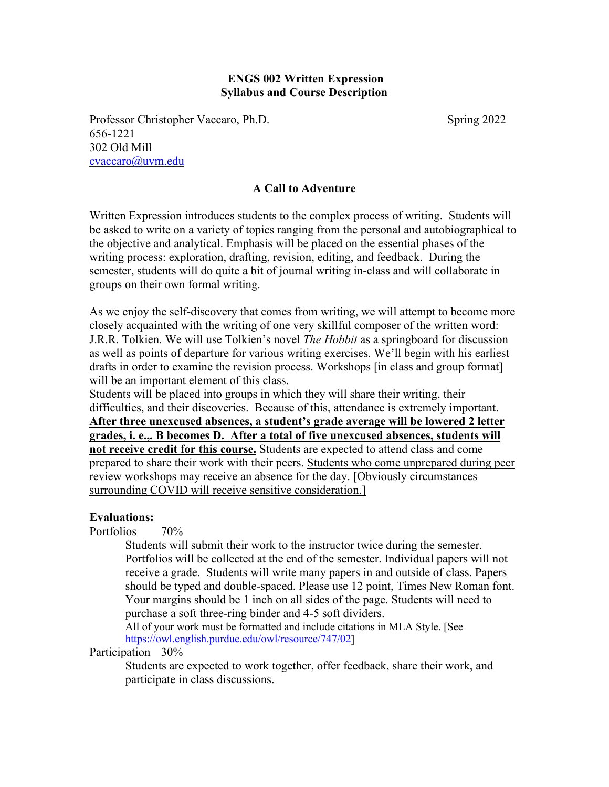## **ENGS 002 Written Expression Syllabus and Course Description**

Professor Christopher Vaccaro, Ph.D. Spring 2022 656-1221 302 Old Mill [cvaccaro@uvm.edu](mailto:cvaccaro@zoo.uvm.edu)

## **A Call to Adventure**

Written Expression introduces students to the complex process of writing. Students will be asked to write on a variety of topics ranging from the personal and autobiographical to the objective and analytical. Emphasis will be placed on the essential phases of the writing process: exploration, drafting, revision, editing, and feedback. During the semester, students will do quite a bit of journal writing in-class and will collaborate in groups on their own formal writing.

As we enjoy the self-discovery that comes from writing, we will attempt to become more closely acquainted with the writing of one very skillful composer of the written word: J.R.R. Tolkien. We will use Tolkien's novel *The Hobbit* as a springboard for discussion as well as points of departure for various writing exercises. We'll begin with his earliest drafts in order to examine the revision process. Workshops [in class and group format] will be an important element of this class.

Students will be placed into groups in which they will share their writing, their difficulties, and their discoveries. Because of this, attendance is extremely important. **After three unexcused absences, a student's grade average will be lowered 2 letter grades, i. e.,. B becomes D. After a total of five unexcused absences, students will not receive credit for this course.** Students are expected to attend class and come prepared to share their work with their peers. Students who come unprepared during peer review workshops may receive an absence for the day. [Obviously circumstances surrounding COVID will receive sensitive consideration.]

#### **Evaluations:**

Portfolios 70%

Students will submit their work to the instructor twice during the semester. Portfolios will be collected at the end of the semester. Individual papers will not receive a grade. Students will write many papers in and outside of class. Papers should be typed and double-spaced. Please use 12 point, Times New Roman font. Your margins should be 1 inch on all sides of the page. Students will need to purchase a soft three-ring binder and 4-5 soft dividers.

All of your work must be formatted and include citations in MLA Style. [See [https://owl.english.purdue.edu/owl/resource/747/02\]](https://owl.english.purdue.edu/owl/resource/747/02)

Participation 30%

Students are expected to work together, offer feedback, share their work, and participate in class discussions.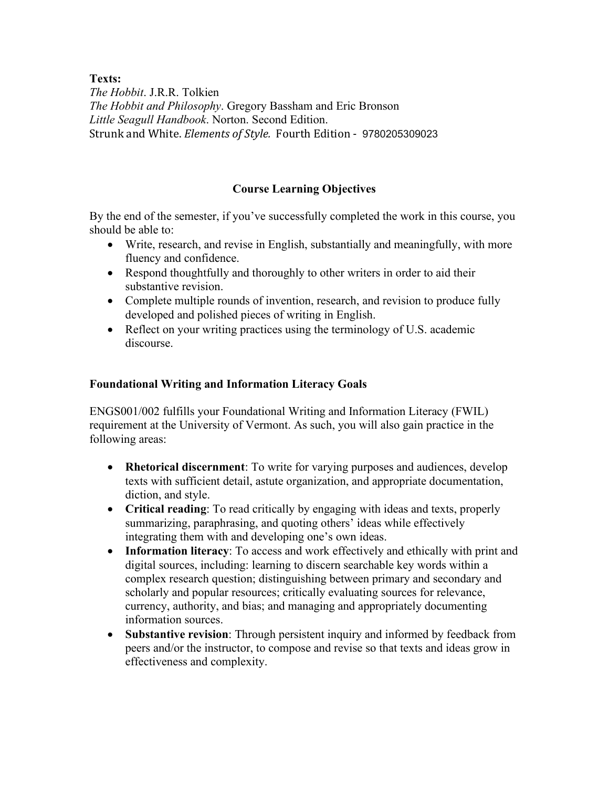**Texts:**

*The Hobbit*. J.R.R. Tolkien *The Hobbit and Philosophy*. Gregory Bassham and Eric Bronson *Little Seagull Handbook*. Norton. Second Edition. Strunk and White. *Elements of Style.* Fourth Edition - 9780205309023

# **Course Learning Objectives**

By the end of the semester, if you've successfully completed the work in this course, you should be able to:

- Write, research, and revise in English, substantially and meaningfully, with more fluency and confidence.
- Respond thoughtfully and thoroughly to other writers in order to aid their substantive revision.
- Complete multiple rounds of invention, research, and revision to produce fully developed and polished pieces of writing in English.
- Reflect on your writing practices using the terminology of U.S. academic discourse.

# **Foundational Writing and Information Literacy Goals**

ENGS001/002 fulfills your Foundational Writing and Information Literacy (FWIL) requirement at the University of Vermont. As such, you will also gain practice in the following areas:

- **Rhetorical discernment**: To write for varying purposes and audiences, develop texts with sufficient detail, astute organization, and appropriate documentation, diction, and style.
- **Critical reading**: To read critically by engaging with ideas and texts, properly summarizing, paraphrasing, and quoting others' ideas while effectively integrating them with and developing one's own ideas.
- **Information literacy**: To access and work effectively and ethically with print and digital sources, including: learning to discern searchable key words within a complex research question; distinguishing between primary and secondary and scholarly and popular resources; critically evaluating sources for relevance, currency, authority, and bias; and managing and appropriately documenting information sources.
- **Substantive revision**: Through persistent inquiry and informed by feedback from peers and/or the instructor, to compose and revise so that texts and ideas grow in effectiveness and complexity.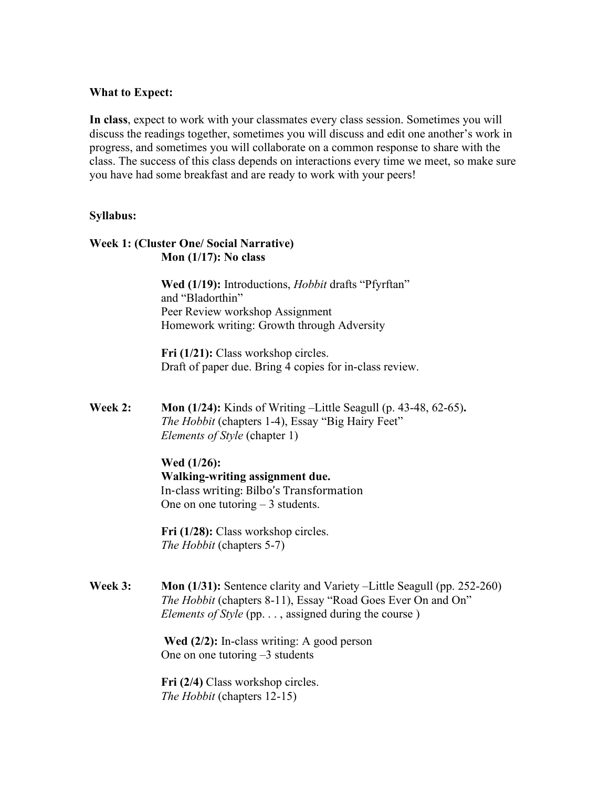### **What to Expect:**

**In class**, expect to work with your classmates every class session. Sometimes you will discuss the readings together, sometimes you will discuss and edit one another's work in progress, and sometimes you will collaborate on a common response to share with the class. The success of this class depends on interactions every time we meet, so make sure you have had some breakfast and are ready to work with your peers!

#### **Syllabus:**

## **Week 1: (Cluster One/ Social Narrative) Mon (1/17): No class**

**Wed (1/19):** Introductions, *Hobbit* drafts "Pfyrftan" and "Bladorthin" Peer Review workshop Assignment Homework writing: Growth through Adversity

**Fri** (1/21): Class workshop circles. Draft of paper due. Bring 4 copies for in-class review.

**Week 2: Mon (1/24):** Kinds of Writing –Little Seagull (p. 43-48, 62-65)**.**  *The Hobbit* (chapters 1-4), Essay "Big Hairy Feet" *Elements of Style* (chapter 1)

#### **Wed (1/26):**

**Walking-writing assignment due.** In-class writing: Bilbo's Transformation One on one tutoring  $-3$  students.

**Fri (1/28):** Class workshop circles. *The Hobbit* (chapters 5-7)

**Week 3: Mon (1/31):** Sentence clarity and Variety –Little Seagull (pp. 252-260) *The Hobbit* (chapters 8-11), Essay "Road Goes Ever On and On" *Elements of Style* (pp. . . , assigned during the course)

> **Wed (2/2):** In-class writing: A good person One on one tutoring –3 students

**Fri (2/4)** Class workshop circles. *The Hobbit* (chapters 12-15)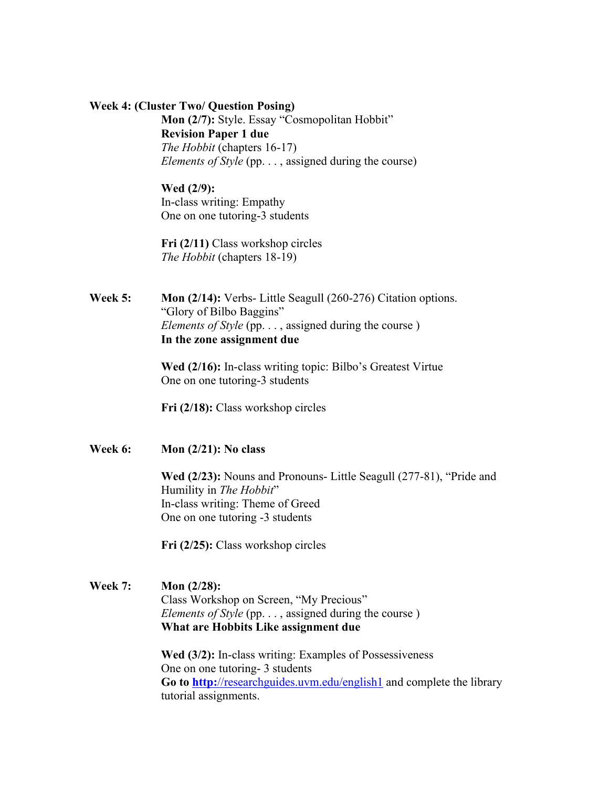#### **Week 4: (Cluster Two/ Question Posing)**

**Mon (2/7):** Style. Essay "Cosmopolitan Hobbit" **Revision Paper 1 due** *The Hobbit* (chapters 16-17) *Elements of Style* (pp. . . , assigned during the course)

## **Wed (2/9):**  In-class writing: Empathy One on one tutoring-3 students

**Fri (2/11)** Class workshop circles *The Hobbit* (chapters 18-19)

**Week 5: Mon (2/14):** Verbs- Little Seagull (260-276) Citation options. "Glory of Bilbo Baggins" *Elements of Style* (pp. . . , assigned during the course) **In the zone assignment due**

> **Wed (2/16):** In-class writing topic: Bilbo's Greatest Virtue One on one tutoring-3 students

**Fri (2/18):** Class workshop circles

**Week 6: Mon (2/21): No class**

**Wed (2/23):** Nouns and Pronouns- Little Seagull (277-81), "Pride and Humility in *The Hobbit*" In-class writing: Theme of Greed One on one tutoring -3 students

**Fri (2/25):** Class workshop circles

**Week 7: Mon (2/28):** Class Workshop on Screen, "My Precious" *Elements of Style* (pp. . . , assigned during the course) **What are Hobbits Like assignment due**

> **Wed (3/2):** In-class writing: Examples of Possessiveness One on one tutoring- 3 students **Go to http:**[//researchguides.uvm.edu/english1](http://researchguides.uvm.edu/english1) and complete the library tutorial assignments.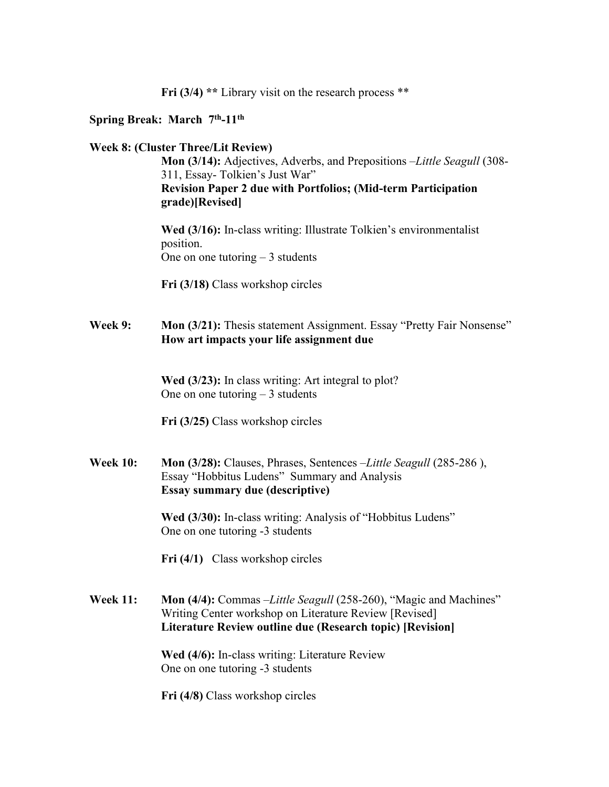**Fri (3/4) \*\*** Library visit on the research process \*\*

### **Spring Break: March 7th-11th**

### **Week 8: (Cluster Three/Lit Review)**

**Mon (3/14):** Adjectives, Adverbs, and Prepositions –*Little Seagull* (308- 311, Essay- Tolkien's Just War" **Revision Paper 2 due with Portfolios; (Mid-term Participation grade)[Revised]**

**Wed (3/16):** In-class writing: Illustrate Tolkien's environmentalist position. One on one tutoring  $-3$  students

**Fri (3/18)** Class workshop circles

**Week 9: Mon (3/21):** Thesis statement Assignment. Essay "Pretty Fair Nonsense" **How art impacts your life assignment due**

> **Wed (3/23):** In class writing: Art integral to plot? One on one tutoring  $-3$  students

**Fri (3/25)** Class workshop circles

**Week 10: Mon (3/28):** Clauses, Phrases, Sentences –*Little Seagull* (285-286 ), Essay "Hobbitus Ludens" Summary and Analysis **Essay summary due (descriptive)**

> **Wed (3/30):** In-class writing: Analysis of "Hobbitus Ludens" One on one tutoring -3 students

**Fri (4/1)** Class workshop circles

**Week 11: Mon (4/4):** Commas –*Little Seagull* (258-260), "Magic and Machines" Writing Center workshop on Literature Review [Revised] **Literature Review outline due (Research topic) [Revision]**

> **Wed (4/6):** In-class writing: Literature Review One on one tutoring -3 students

**Fri (4/8)** Class workshop circles